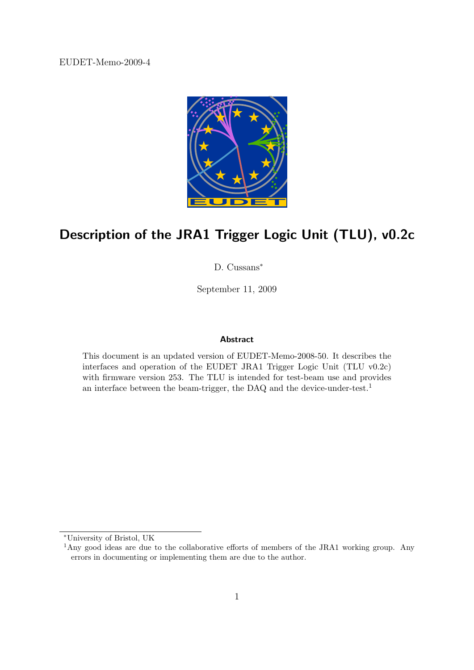EUDET-Memo-2009-4



# Description of the JRA1 Trigger Logic Unit (TLU), v0.2c

D. Cussans<sup>∗</sup>

September 11, 2009

#### Abstract

This document is an updated version of EUDET-Memo-2008-50. It describes the interfaces and operation of the EUDET JRA1 Trigger Logic Unit (TLU v0.2c) with firmware version 253. The TLU is intended for test-beam use and provides an interface between the beam-trigger, the DAQ and the device-under-test.<sup>1</sup>

<sup>∗</sup>University of Bristol, UK

<sup>&</sup>lt;sup>1</sup>Any good ideas are due to the collaborative efforts of members of the JRA1 working group. Any errors in documenting or implementing them are due to the author.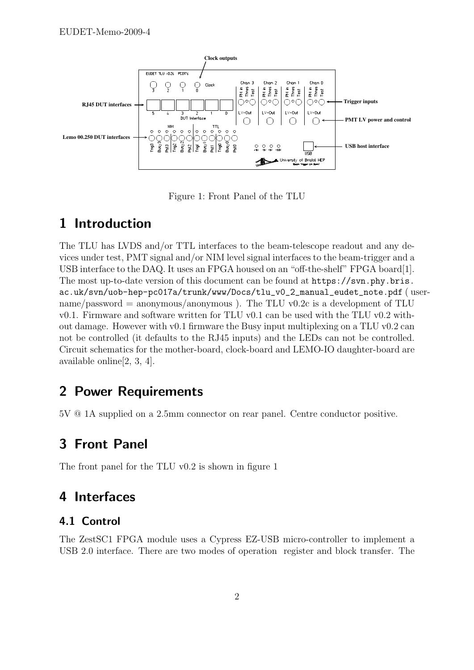

Figure 1: Front Panel of the TLU

# 1 Introduction

The TLU has LVDS and/or TTL interfaces to the beam-telescope readout and any devices under test, PMT signal and/or NIM level signal interfaces to the beam-trigger and a USB interface to the DAQ. It uses an FPGA housed on an "off-the-shelf" FPGA board[1]. The most up-to-date version of this document can be found at https://svn.phy.bris. ac.uk/svn/uob-hep-pc017a/trunk/www/Docs/tlu\_v0\_2\_manual\_eudet\_note.pdf ( username/password = anonymous/anonymous). The TLU v0.2c is a development of TLU v0.1. Firmware and software written for TLU v0.1 can be used with the TLU v0.2 without damage. However with v0.1 firmware the Busy input multiplexing on a TLU v0.2 can not be controlled (it defaults to the RJ45 inputs) and the LEDs can not be controlled. Circuit schematics for the mother-board, clock-board and LEMO-IO daughter-board are available online[2, 3, 4].

# 2 Power Requirements

5V @ 1A supplied on a 2.5mm connector on rear panel. Centre conductor positive.

# 3 Front Panel

The front panel for the TLU v0.2 is shown in figure 1

# 4 Interfaces

#### 4.1 Control

The ZestSC1 FPGA module uses a Cypress EZ-USB micro-controller to implement a USB 2.0 interface. There are two modes of operation register and block transfer. The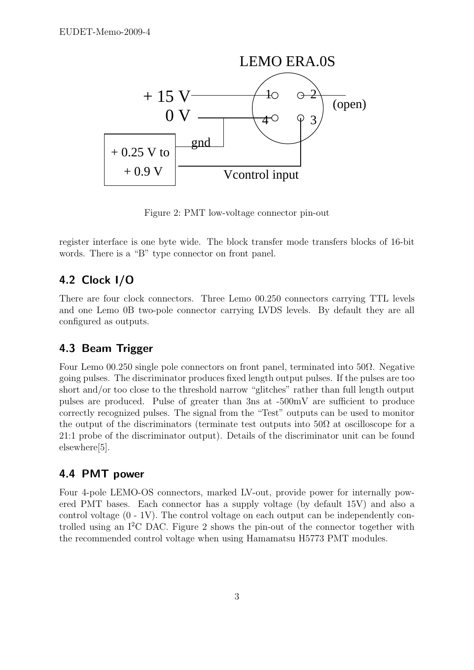

Figure 2: PMT low-voltage connector pin-out

register interface is one byte wide. The block transfer mode transfers blocks of 16-bit words. There is a "B" type connector on front panel.

### 4.2 Clock I/O

There are four clock connectors. Three Lemo 00.250 connectors carrying TTL levels and one Lemo 0B two-pole connector carrying LVDS levels. By default they are all configured as outputs.

#### 4.3 Beam Trigger

Four Lemo 00.250 single pole connectors on front panel, terminated into 50Ω. Negative going pulses. The discriminator produces fixed length output pulses. If the pulses are too short and/or too close to the threshold narrow "glitches" rather than full length output pulses are produced. Pulse of greater than 3ns at -500mV are sufficient to produce correctly recognized pulses. The signal from the "Test" outputs can be used to monitor the output of the discriminators (terminate test outputs into  $50\Omega$  at oscilloscope for a 21:1 probe of the discriminator output). Details of the discriminator unit can be found elsewhere[5].

#### 4.4 PMT power

Four 4-pole LEMO-OS connectors, marked LV-out, provide power for internally powered PMT bases. Each connector has a supply voltage (by default 15V) and also a control voltage  $(0 - 1V)$ . The control voltage on each output can be independently controlled using an  $I^2C$  DAC. Figure 2 shows the pin-out of the connector together with the recommended control voltage when using Hamamatsu H5773 PMT modules.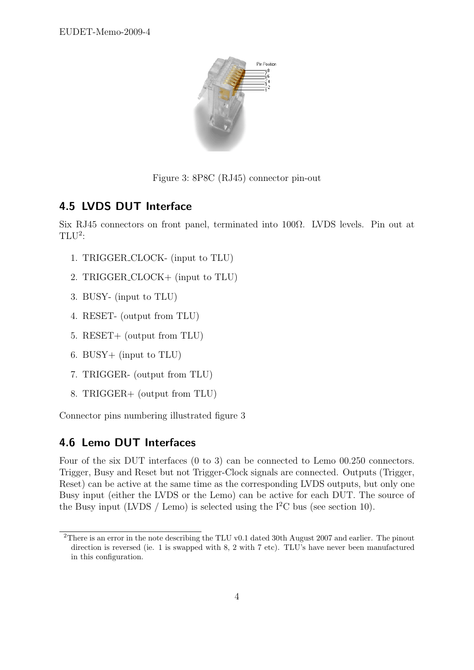

Figure 3: 8P8C (RJ45) connector pin-out

## 4.5 LVDS DUT Interface

Six RJ45 connectors on front panel, terminated into 100Ω. LVDS levels. Pin out at  $TLU<sup>2</sup>$ :

- 1. TRIGGER CLOCK- (input to TLU)
- 2. TRIGGER CLOCK+ (input to TLU)
- 3. BUSY- (input to TLU)
- 4. RESET- (output from TLU)
- 5. RESET+ (output from TLU)
- 6. BUSY+ (input to TLU)
- 7. TRIGGER- (output from TLU)
- 8. TRIGGER+ (output from TLU)

Connector pins numbering illustrated figure 3

#### 4.6 Lemo DUT Interfaces

Four of the six DUT interfaces (0 to 3) can be connected to Lemo 00.250 connectors. Trigger, Busy and Reset but not Trigger-Clock signals are connected. Outputs (Trigger, Reset) can be active at the same time as the corresponding LVDS outputs, but only one Busy input (either the LVDS or the Lemo) can be active for each DUT. The source of the Busy input (LVDS / Lemo) is selected using the  $I^2C$  bus (see section 10).

<sup>2</sup>There is an error in the note describing the TLU v0.1 dated 30th August 2007 and earlier. The pinout direction is reversed (ie. 1 is swapped with 8, 2 with 7 etc). TLU's have never been manufactured in this configuration.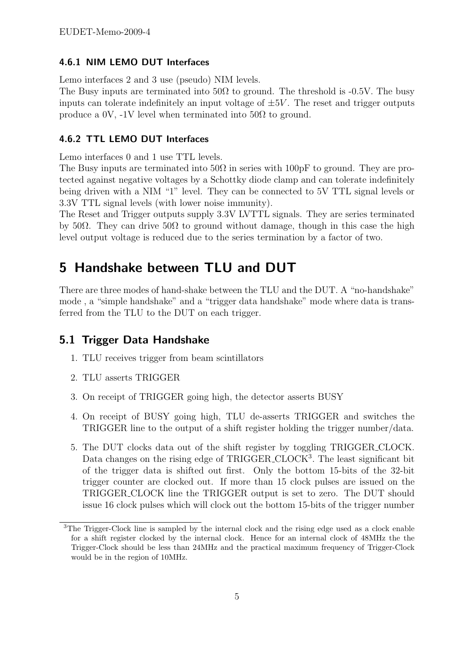#### 4.6.1 NIM LEMO DUT Interfaces

Lemo interfaces 2 and 3 use (pseudo) NIM levels.

The Busy inputs are terminated into  $50\Omega$  to ground. The threshold is -0.5V. The busy inputs can tolerate indefinitely an input voltage of  $\pm 5V$ . The reset and trigger outputs produce a 0V, -1V level when terminated into  $50\Omega$  to ground.

#### 4.6.2 TTL LEMO DUT Interfaces

Lemo interfaces 0 and 1 use TTL levels.

The Busy inputs are terminated into  $50\Omega$  in series with  $100pF$  to ground. They are protected against negative voltages by a Schottky diode clamp and can tolerate indefinitely being driven with a NIM "1" level. They can be connected to 5V TTL signal levels or 3.3V TTL signal levels (with lower noise immunity).

The Reset and Trigger outputs supply 3.3V LVTTL signals. They are series terminated by 50Ω. They can drive 50Ω to ground without damage, though in this case the high level output voltage is reduced due to the series termination by a factor of two.

# 5 Handshake between TLU and DUT

There are three modes of hand-shake between the TLU and the DUT. A "no-handshake" mode , a "simple handshake" and a "trigger data handshake" mode where data is transferred from the TLU to the DUT on each trigger.

#### 5.1 Trigger Data Handshake

- 1. TLU receives trigger from beam scintillators
- 2. TLU asserts TRIGGER
- 3. On receipt of TRIGGER going high, the detector asserts BUSY
- 4. On receipt of BUSY going high, TLU de-asserts TRIGGER and switches the TRIGGER line to the output of a shift register holding the trigger number/data.
- 5. The DUT clocks data out of the shift register by toggling TRIGGER CLOCK. Data changes on the rising edge of TRIGGER\_CLOCK<sup>3</sup>. The least significant bit of the trigger data is shifted out first. Only the bottom 15-bits of the 32-bit trigger counter are clocked out. If more than 15 clock pulses are issued on the TRIGGER CLOCK line the TRIGGER output is set to zero. The DUT should issue 16 clock pulses which will clock out the bottom 15-bits of the trigger number

<sup>&</sup>lt;sup>3</sup>The Trigger-Clock line is sampled by the internal clock and the rising edge used as a clock enable for a shift register clocked by the internal clock. Hence for an internal clock of 48MHz the the Trigger-Clock should be less than 24MHz and the practical maximum frequency of Trigger-Clock would be in the region of 10MHz.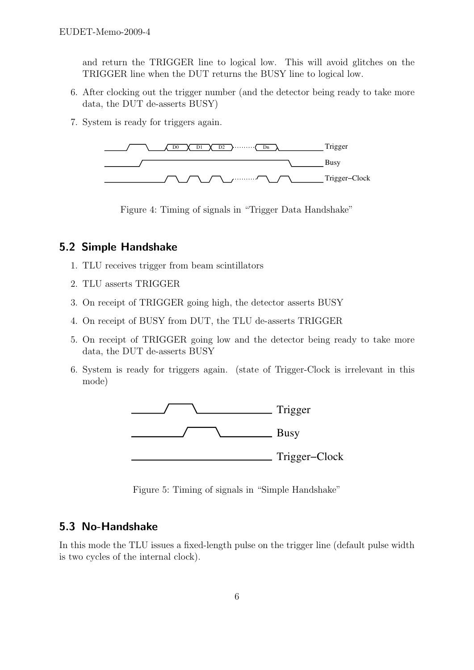and return the TRIGGER line to logical low. This will avoid glitches on the TRIGGER line when the DUT returns the BUSY line to logical low.

- 6. After clocking out the trigger number (and the detector being ready to take more data, the DUT de-asserts BUSY)
- 7. System is ready for triggers again.



Figure 4: Timing of signals in "Trigger Data Handshake"

#### 5.2 Simple Handshake

- 1. TLU receives trigger from beam scintillators
- 2. TLU asserts TRIGGER
- 3. On receipt of TRIGGER going high, the detector asserts BUSY
- 4. On receipt of BUSY from DUT, the TLU de-asserts TRIGGER
- 5. On receipt of TRIGGER going low and the detector being ready to take more data, the DUT de-asserts BUSY
- 6. System is ready for triggers again. (state of Trigger-Clock is irrelevant in this mode)



Figure 5: Timing of signals in "Simple Handshake"

#### 5.3 No-Handshake

In this mode the TLU issues a fixed-length pulse on the trigger line (default pulse width is two cycles of the internal clock).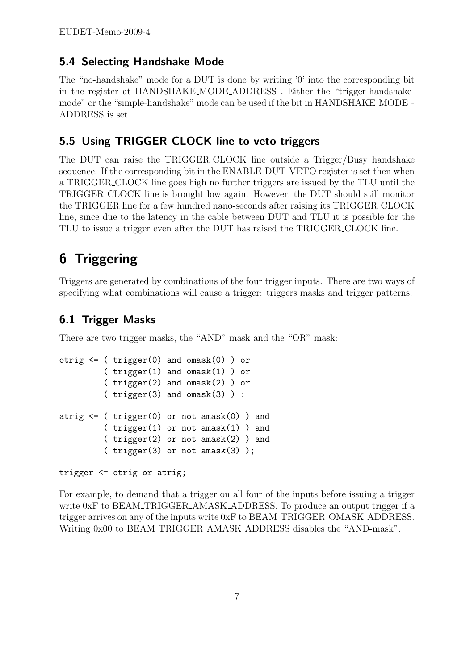### 5.4 Selecting Handshake Mode

The "no-handshake" mode for a DUT is done by writing '0' into the corresponding bit in the register at HANDSHAKE MODE ADDRESS . Either the "trigger-handshakemode" or the "simple-handshake" mode can be used if the bit in HANDSHAKE MODE - ADDRESS is set.

### 5.5 Using TRIGGER CLOCK line to veto triggers

The DUT can raise the TRIGGER CLOCK line outside a Trigger/Busy handshake sequence. If the corresponding bit in the ENABLE DUT VETO register is set then when a TRIGGER CLOCK line goes high no further triggers are issued by the TLU until the TRIGGER CLOCK line is brought low again. However, the DUT should still monitor the TRIGGER line for a few hundred nano-seconds after raising its TRIGGER CLOCK line, since due to the latency in the cable between DUT and TLU it is possible for the TLU to issue a trigger even after the DUT has raised the TRIGGER CLOCK line.

# 6 Triggering

Triggers are generated by combinations of the four trigger inputs. There are two ways of specifying what combinations will cause a trigger: triggers masks and trigger patterns.

### 6.1 Trigger Masks

There are two trigger masks, the "AND" mask and the "OR" mask:

```
otrig \leq ( trigger(0) and omask(0) ) or
          ( trigger(1) and omask(1) ) or
          ( trigger(2) and omask(2) ) or
          ( trigger(3) and omask(3) ) ;
atrig \leq ( trigger(0) or not amask(0) ) and
         ( trigger(1) or not amask(1) ) and
          ( trigger(2) or not amask(2) ) and
          (\text{trigger}(3) \text{ or not amask}(3));
```
trigger <= otrig or atrig;

For example, to demand that a trigger on all four of the inputs before issuing a trigger write 0xF to BEAM\_TRIGGER\_AMASK\_ADDRESS. To produce an output trigger if a trigger arrives on any of the inputs write 0xF to BEAM TRIGGER OMASK ADDRESS. Writing 0x00 to BEAM\_TRIGGER\_AMASK\_ADDRESS disables the "AND-mask".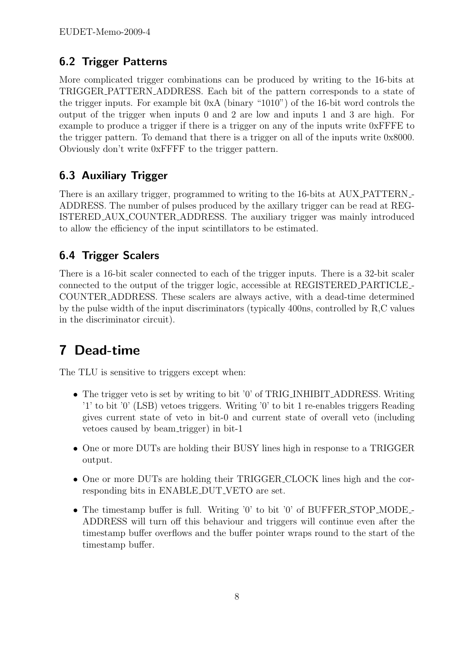## 6.2 Trigger Patterns

More complicated trigger combinations can be produced by writing to the 16-bits at TRIGGER PATTERN ADDRESS. Each bit of the pattern corresponds to a state of the trigger inputs. For example bit 0xA (binary "1010") of the 16-bit word controls the output of the trigger when inputs 0 and 2 are low and inputs 1 and 3 are high. For example to produce a trigger if there is a trigger on any of the inputs write 0xFFFE to the trigger pattern. To demand that there is a trigger on all of the inputs write 0x8000. Obviously don't write 0xFFFF to the trigger pattern.

## 6.3 Auxiliary Trigger

There is an axillary trigger, programmed to writing to the 16-bits at AUX PATTERN - ADDRESS. The number of pulses produced by the axillary trigger can be read at REG-ISTERED AUX COUNTER ADDRESS. The auxiliary trigger was mainly introduced to allow the efficiency of the input scintillators to be estimated.

### 6.4 Trigger Scalers

There is a 16-bit scaler connected to each of the trigger inputs. There is a 32-bit scaler connected to the output of the trigger logic, accessible at REGISTERED PARTICLE - COUNTER ADDRESS. These scalers are always active, with a dead-time determined by the pulse width of the input discriminators (typically 400ns, controlled by R,C values in the discriminator circuit).

# 7 Dead-time

The TLU is sensitive to triggers except when:

- The trigger veto is set by writing to bit '0' of TRIG\_INHIBIT\_ADDRESS. Writing '1' to bit '0' (LSB) vetoes triggers. Writing '0' to bit 1 re-enables triggers Reading gives current state of veto in bit-0 and current state of overall veto (including vetoes caused by beam trigger) in bit-1
- One or more DUTs are holding their BUSY lines high in response to a TRIGGER output.
- One or more DUTs are holding their TRIGGER CLOCK lines high and the corresponding bits in ENABLE DUT VETO are set.
- The timestamp buffer is full. Writing '0' to bit '0' of BUFFER STOP MODE ADDRESS will turn off this behaviour and triggers will continue even after the timestamp buffer overflows and the buffer pointer wraps round to the start of the timestamp buffer.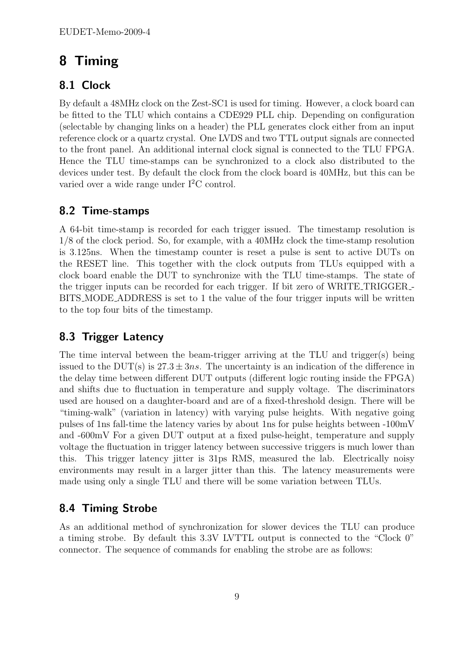# 8 Timing

## 8.1 Clock

By default a 48MHz clock on the Zest-SC1 is used for timing. However, a clock board can be fitted to the TLU which contains a CDE929 PLL chip. Depending on configuration (selectable by changing links on a header) the PLL generates clock either from an input reference clock or a quartz crystal. One LVDS and two TTL output signals are connected to the front panel. An additional internal clock signal is connected to the TLU FPGA. Hence the TLU time-stamps can be synchronized to a clock also distributed to the devices under test. By default the clock from the clock board is 40MHz, but this can be varied over a wide range under I<sup>2</sup>C control.

## 8.2 Time-stamps

A 64-bit time-stamp is recorded for each trigger issued. The timestamp resolution is 1/8 of the clock period. So, for example, with a 40MHz clock the time-stamp resolution is 3.125ns. When the timestamp counter is reset a pulse is sent to active DUTs on the RESET line. This together with the clock outputs from TLUs equipped with a clock board enable the DUT to synchronize with the TLU time-stamps. The state of the trigger inputs can be recorded for each trigger. If bit zero of WRITE TRIGGER - BITS MODE ADDRESS is set to 1 the value of the four trigger inputs will be written to the top four bits of the timestamp.

## 8.3 Trigger Latency

The time interval between the beam-trigger arriving at the TLU and trigger(s) being issued to the DUT(s) is  $27.3 \pm 3ns$ . The uncertainty is an indication of the difference in the delay time between different DUT outputs (different logic routing inside the FPGA) and shifts due to fluctuation in temperature and supply voltage. The discriminators used are housed on a daughter-board and are of a fixed-threshold design. There will be "timing-walk" (variation in latency) with varying pulse heights. With negative going pulses of 1ns fall-time the latency varies by about 1ns for pulse heights between -100mV and -600mV For a given DUT output at a fixed pulse-height, temperature and supply voltage the fluctuation in trigger latency between successive triggers is much lower than this. This trigger latency jitter is 31ps RMS, measured the lab. Electrically noisy environments may result in a larger jitter than this. The latency measurements were made using only a single TLU and there will be some variation between TLUs.

## 8.4 Timing Strobe

As an additional method of synchronization for slower devices the TLU can produce a timing strobe. By default this 3.3V LVTTL output is connected to the "Clock 0" connector. The sequence of commands for enabling the strobe are as follows: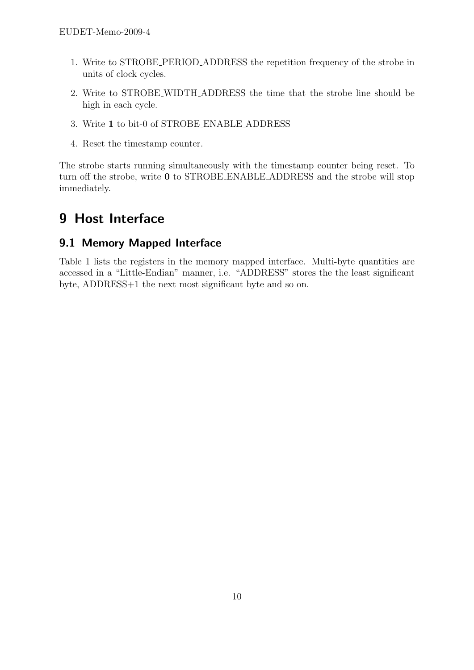- 1. Write to STROBE PERIOD ADDRESS the repetition frequency of the strobe in units of clock cycles.
- 2. Write to STROBE WIDTH ADDRESS the time that the strobe line should be high in each cycle.
- 3. Write 1 to bit-0 of STROBE ENABLE ADDRESS
- 4. Reset the timestamp counter.

The strobe starts running simultaneously with the timestamp counter being reset. To turn off the strobe, write 0 to STROBE ENABLE ADDRESS and the strobe will stop immediately.

# 9 Host Interface

### 9.1 Memory Mapped Interface

Table 1 lists the registers in the memory mapped interface. Multi-byte quantities are accessed in a "Little-Endian" manner, i.e. "ADDRESS" stores the the least significant byte, ADDRESS+1 the next most significant byte and so on.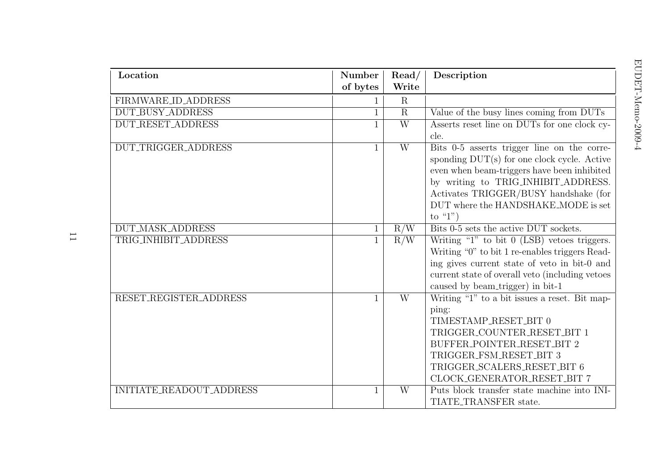| Location                 | Number<br>of bytes | $\mathrm{Read}/$<br>Write | Description                                                                                                                                                                                                                                                                       |
|--------------------------|--------------------|---------------------------|-----------------------------------------------------------------------------------------------------------------------------------------------------------------------------------------------------------------------------------------------------------------------------------|
| FIRMWARE_ID_ADDRESS      | $\mathbf{1}$       | $\mathbf R$               |                                                                                                                                                                                                                                                                                   |
| <b>DUT_BUSY_ADDRESS</b>  |                    | $\overline{\mathrm{R}}$   | Value of the busy lines coming from DUTs                                                                                                                                                                                                                                          |
| <b>DUT_RESET_ADDRESS</b> | $\mathbf{1}$       | $\overline{W}$            | Asserts reset line on DUTs for one clock cy-<br>cle.                                                                                                                                                                                                                              |
| DUT_TRIGGER_ADDRESS      | $\mathbf{1}$       | $\overline{W}$            | Bits 0-5 asserts trigger line on the corre-<br>sponding $DUT(s)$ for one clock cycle. Active<br>even when beam-triggers have been inhibited<br>by writing to TRIG_INHIBIT_ADDRESS.<br>Activates TRIGGER/BUSY handshake (for<br>DUT where the HANDSHAKE MODE is set<br>to " $1$ ") |
| <b>DUT_MASK_ADDRESS</b>  | $\mathbf{1}$       | R/W                       | Bits 0-5 sets the active DUT sockets.                                                                                                                                                                                                                                             |
| TRIG_INHIBIT_ADDRESS     | $\mathbf{1}$       | R/W                       | Writing "1" to bit $0$ (LSB) vetoes triggers.<br>Writing "0" to bit 1 re-enables triggers Read-<br>ing gives current state of veto in bit-0 and<br>current state of overall veto (including vetoes<br>caused by beam_trigger) in bit-1                                            |
| RESET_REGISTER_ADDRESS   |                    | $\overline{W}$            | Writing "1" to a bit issues a reset. Bit map-<br>ping:<br>TIMESTAMP_RESET_BIT 0<br>TRIGGER_COUNTER_RESET_BIT 1<br>BUFFER_POINTER_RESET_BIT 2<br>TRIGGER_FSM_RESET_BIT 3<br>TRIGGER_SCALERS_RESET_BIT 6<br>CLOCK_GENERATOR_RESET_BIT 7                                             |
| INITIATE_READOUT_ADDRESS | 1                  | W                         | Puts block transfer state machine into INI-<br>TIATE_TRANSFER state.                                                                                                                                                                                                              |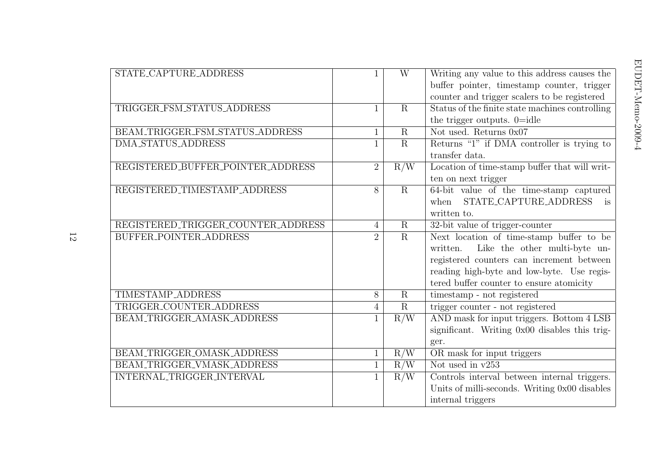|                |                         | Writing any value to this address causes the             |
|----------------|-------------------------|----------------------------------------------------------|
|                |                         | buffer pointer, timestamp counter, trigger               |
|                |                         | counter and trigger scalers to be registered             |
|                |                         | Status of the finite state machines controlling          |
|                |                         | the trigger outputs. $0 = id$                            |
|                |                         | Not used. Returns 0x07                                   |
|                |                         | Returns "1" if DMA controller is trying to               |
|                |                         | transfer data.                                           |
| $\overline{2}$ |                         | Location of time-stamp buffer that will writ-            |
|                |                         | ten on next trigger                                      |
| 8              | $\overline{R}$          | 64-bit value of the time-stamp captured                  |
|                |                         | STATE_CAPTURE_ADDRESS<br>when<br>is                      |
|                |                         | written to.                                              |
| $\overline{4}$ | $\overline{R}$          | 32-bit value of trigger-counter                          |
| $\overline{2}$ | $\overline{R}$          | Next location of time-stamp buffer to be                 |
|                |                         | Like the other multi-byte un-<br>written.                |
|                |                         | registered counters can increment between                |
|                |                         | reading high-byte and low-byte. Use regis-               |
|                |                         | tered buffer counter to ensure atomicity                 |
| $\overline{8}$ | $\overline{\mathrm{R}}$ | timestamp - not registered                               |
| $\overline{4}$ | $\mathbf R$             | trigger counter - not registered                         |
|                | R/W                     | AND mask for input triggers. Bottom 4 LSB                |
|                |                         | significant. Writing 0x00 disables this trig-            |
|                |                         | ger.                                                     |
| 1              | R/W                     | OR mask for input triggers                               |
| $\mathbf{1}$   | R/W                     | Not used in $v253$                                       |
| $\mathbf{1}$   | R/W                     | Controls interval between internal triggers.             |
|                |                         | Units of milli-seconds. Writing 0x00 disables            |
|                |                         | internal triggers                                        |
|                | 1<br>1                  | W<br>$\mathbf R$<br>$\overline{R}$<br>$\mathbf R$<br>R/W |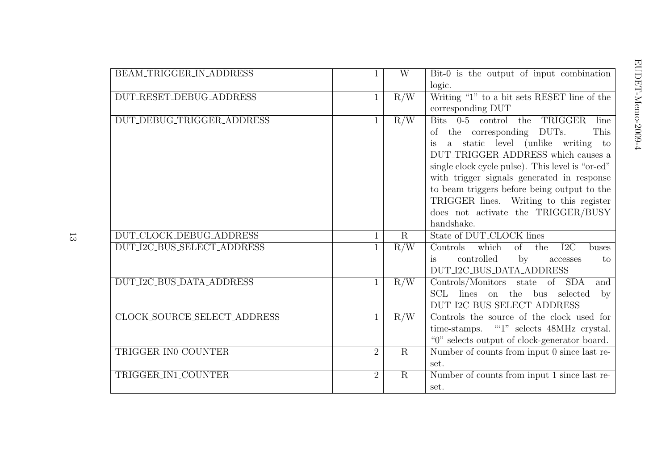| BEAM_TRIGGER_IN_ADDRESS     |                | W              | Bit-0 is the output of input combination<br>logic.                                                                                                                                                                                                                                                                                                                                                    |
|-----------------------------|----------------|----------------|-------------------------------------------------------------------------------------------------------------------------------------------------------------------------------------------------------------------------------------------------------------------------------------------------------------------------------------------------------------------------------------------------------|
| DUT_RESET_DEBUG_ADDRESS     | $\mathbf{1}$   | R/W            | Writing " $1$ " to a bit sets RESET line of the<br>corresponding DUT                                                                                                                                                                                                                                                                                                                                  |
| DUT_DEBUG_TRIGGER_ADDRESS   | $\mathbf{1}$   | R/W            | Bits 0-5 control the TRIGGER<br>line<br>of the corresponding DUTs.<br>This<br>a static level (unlike writing to<br>DUT_TRIGGER_ADDRESS which causes a<br>single clock cycle pulse). This level is "or-ed"<br>with trigger signals generated in response<br>to beam triggers before being output to the<br>TRIGGER lines. Writing to this register<br>does not activate the TRIGGER/BUSY<br>handshake. |
| DUT_CLOCK_DEBUG_ADDRESS     |                | $\overline{R}$ | State of DUT_CLOCK lines                                                                                                                                                                                                                                                                                                                                                                              |
| DUT_I2C_BUS_SELECT_ADDRESS  | $\mathbf{1}$   | R/W            | Controls<br>which<br>of<br>I2C<br>the<br>buses<br>controlled<br>$\mathbf{b} \mathbf{v}$<br>is<br>to<br>accesses<br>DUT_I2C_BUS_DATA_ADDRESS                                                                                                                                                                                                                                                           |
| DUT_I2C_BUS_DATA_ADDRESS    | $\mathbf{1}$   | R/W            | Controls/Monitors state of SDA<br>$\overline{\text{and}}$<br>SCL lines on the bus selected<br>$\mathbf{b}$<br>DUT_I2C_BUS_SELECT_ADDRESS                                                                                                                                                                                                                                                              |
| CLOCK_SOURCE_SELECT_ADDRESS | $\mathbf{1}$   | R/W            | Controls the source of the clock used for<br>time-stamps. ""1" selects 48MHz crystal.<br>"0" selects output of clock-generator board.                                                                                                                                                                                                                                                                 |
| TRIGGER_IN0_COUNTER         | $\overline{2}$ | $\overline{R}$ | Number of counts from input 0 since last re-<br>set.                                                                                                                                                                                                                                                                                                                                                  |
| TRIGGER_IN1_COUNTER         | $\overline{2}$ | $\mathbf R$    | Number of counts from input 1 since last re-<br>set.                                                                                                                                                                                                                                                                                                                                                  |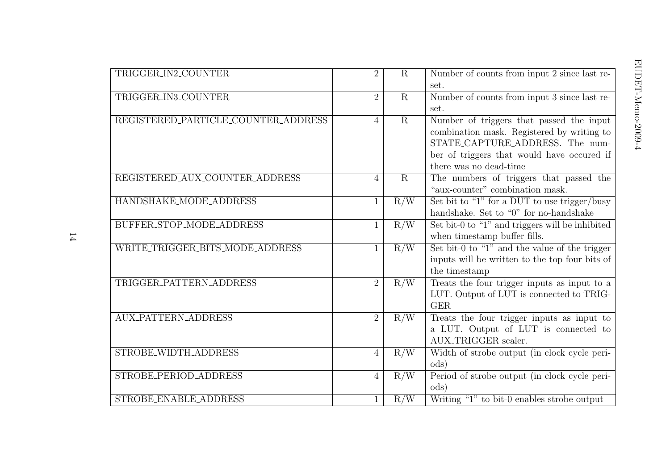| TRIGGER_IN2_COUNTER                 | $\overline{2}$ | $\mathbf R$    | Number of counts from input 2 since last re-<br>set.                                                                                                                                              |
|-------------------------------------|----------------|----------------|---------------------------------------------------------------------------------------------------------------------------------------------------------------------------------------------------|
| TRIGGER_IN3_COUNTER                 | $\overline{2}$ | $\mathbf R$    | Number of counts from input 3 since last re-<br>set.                                                                                                                                              |
| REGISTERED_PARTICLE_COUNTER_ADDRESS | $\overline{4}$ | $\overline{R}$ | Number of triggers that passed the input<br>combination mask. Registered by writing to<br>STATE_CAPTURE_ADDRESS. The num-<br>ber of triggers that would have occured if<br>there was no dead-time |
| REGISTERED_AUX_COUNTER_ADDRESS      | $\overline{4}$ | $\overline{R}$ | The numbers of triggers that passed the<br>"aux-counter" combination mask.                                                                                                                        |
| HANDSHAKE_MODE_ADDRESS              | 1              | R/W            | Set bit to "1" for a DUT to use trigger/busy<br>handshake. Set to "0" for no-handshake                                                                                                            |
| BUFFER_STOP_MODE_ADDRESS            | 1              | R/W            | Set bit-0 to "1" and triggers will be inhibited<br>when timestamp buffer fills.                                                                                                                   |
| WRITE_TRIGGER_BITS_MODE_ADDRESS     | $\mathbf{1}$   | R/W            | Set bit-0 to "1" and the value of the trigger<br>inputs will be written to the top four bits of<br>the timestamp                                                                                  |
| TRIGGER_PATTERN_ADDRESS             | $\overline{2}$ | R/W            | Treats the four trigger inputs as input to a<br>LUT. Output of LUT is connected to TRIG-<br><b>GER</b>                                                                                            |
| <b>AUX_PATTERN_ADDRESS</b>          | $\overline{2}$ | R/W            | Treats the four trigger inputs as input to<br>a LUT. Output of LUT is connected to<br>AUX_TRIGGER scaler.                                                                                         |
| STROBE_WIDTH_ADDRESS                | $\overline{4}$ | R/W            | Width of strobe output (in clock cycle peri-<br>ods)                                                                                                                                              |
| STROBE_PERIOD_ADDRESS               | $\overline{4}$ | R/W            | Period of strobe output (in clock cycle peri-<br>$\mathrm{ods})$                                                                                                                                  |
| STROBE_ENABLE_ADDRESS               |                | R/W            | Writing "1" to bit-0 enables strobe output                                                                                                                                                        |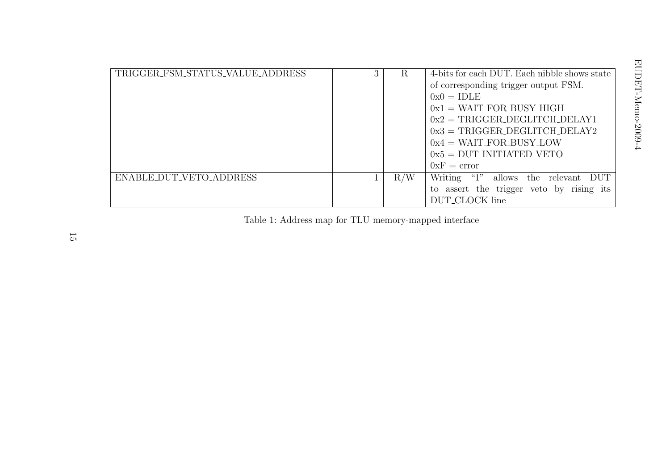| TRIGGER_FSM_STATUS_VALUE_ADDRESS | 3 | R   | 4-bits for each DUT. Each nibble shows state       |
|----------------------------------|---|-----|----------------------------------------------------|
|                                  |   |     | of corresponding trigger output FSM.               |
|                                  |   |     | $0x0 = IDLE$                                       |
|                                  |   |     | $0x1 = WAIT_FOR_BUSY_HIGH$                         |
|                                  |   |     | $0x2 = TRIGGER$ DEGLITCH DELAY1                    |
|                                  |   |     | $0x3 = TRIGGER$ DEGLITCH DELAY2                    |
|                                  |   |     | $0x4 = WAIT_FOR_BUSY_LOW$                          |
|                                  |   |     | $0x5 = DUT$ INITIATED VETO                         |
|                                  |   |     | $0xF = error$                                      |
| ENABLE_DUT_VETO_ADDRESS          |   | R/W | $\lq\lq 1$ "<br>Writing<br>allows the relevant DUT |
|                                  |   |     | to assert the trigger veto by rising its           |
|                                  |   |     | DUT_CLOCK line                                     |

Table 1: Address map for TLU memory-mapped interface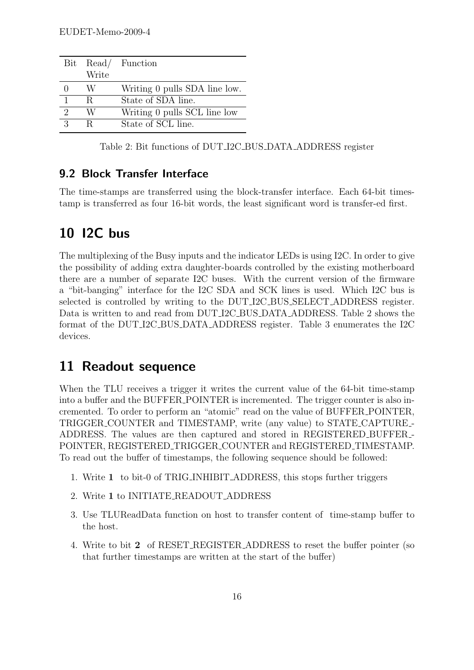| Bit                         |       | Read/ Function                |
|-----------------------------|-------|-------------------------------|
|                             | Write |                               |
|                             | W     | Writing 0 pulls SDA line low. |
| $\mathbf{1}$                | R.    | State of SDA line.            |
| $\mathcal{D}_{\mathcal{L}}$ | W     | Writing 0 pulls SCL line low  |
| $\mathcal{R}$               | R     | State of SCL line.            |

Table 2: Bit functions of DUT I2C BUS DATA ADDRESS register

#### 9.2 Block Transfer Interface

The time-stamps are transferred using the block-transfer interface. Each 64-bit timestamp is transferred as four 16-bit words, the least significant word is transfer-ed first.

# 10 I2C bus

The multiplexing of the Busy inputs and the indicator LEDs is using I2C. In order to give the possibility of adding extra daughter-boards controlled by the existing motherboard there are a number of separate I2C buses. With the current version of the firmware a "bit-banging" interface for the I2C SDA and SCK lines is used. Which I2C bus is selected is controlled by writing to the DUT I2C BUS SELECT ADDRESS register. Data is written to and read from DUT\_I2C\_BUS\_DATA\_ADDRESS. Table 2 shows the format of the DUT I2C BUS DATA ADDRESS register. Table 3 enumerates the I2C devices.

## 11 Readout sequence

When the TLU receives a trigger it writes the current value of the 64-bit time-stamp into a buffer and the BUFFER POINTER is incremented. The trigger counter is also incremented. To order to perform an "atomic" read on the value of BUFFER POINTER, TRIGGER COUNTER and TIMESTAMP, write (any value) to STATE CAPTURE - ADDRESS. The values are then captured and stored in REGISTERED BUFFER - POINTER, REGISTERED TRIGGER COUNTER and REGISTERED TIMESTAMP. To read out the buffer of timestamps, the following sequence should be followed:

- 1. Write 1 to bit-0 of TRIG INHIBIT ADDRESS, this stops further triggers
- 2. Write 1 to INITIATE READOUT ADDRESS
- 3. Use TLUReadData function on host to transfer content of time-stamp buffer to the host.
- 4. Write to bit 2 of RESET REGISTER ADDRESS to reset the buffer pointer (so that further timestamps are written at the start of the buffer)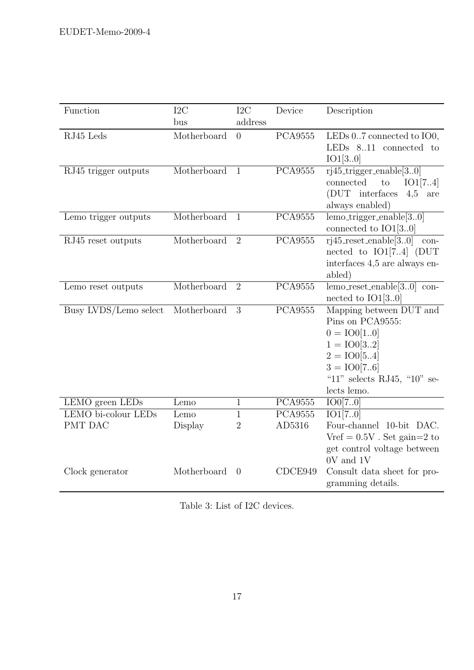| Function                              | I2C<br>bus      | I2C<br>address      | Device                   | Description                                                                                                                                                   |
|---------------------------------------|-----------------|---------------------|--------------------------|---------------------------------------------------------------------------------------------------------------------------------------------------------------|
| RJ45 Leds                             | Motherboard     | $\overline{0}$      | <b>PCA9555</b>           | LEDs $0.7$ connected to $IO0$ ,<br>LEDs $8.11$ connected to<br>IO1[30]                                                                                        |
| RJ45 trigger outputs                  | Motherboard     | $\mathbf{1}$        | <b>PCA9555</b>           | $\overline{r}$ j45_trigger_enable[30]<br>connected<br>$\rm{to}$<br>IO1[74]<br>(DUT interfaces<br>$4,5$ are<br>always enabled)                                 |
| Lemo trigger outputs                  | Motherboard     | $\mathbf{1}$        | <b>PCA9555</b>           | $lemo\_trigger\_enable[30]$<br>connected to $IO1[30]$                                                                                                         |
| RJ45 reset outputs                    | Motherboard     | $\overline{2}$      | <b>PCA9555</b>           | $rij45_reset_enable[30]$<br>$\,$ con-<br>nected to $IO1[74]$ (DUT<br>interfaces 4,5 are always en-<br>abled)                                                  |
| Lemo reset outputs                    | Motherboard     | $\overline{2}$      | <b>PCA9555</b>           | $lemo\_reset\_enable[30]$ con-<br>nected to $IO1[30]$                                                                                                         |
| Busy LVDS/Lemo select                 | Motherboard     | 3                   | <b>PCA9555</b>           | Mapping between DUT and<br>Pins on PCA9555:<br>$0 = IO0[10]$<br>$1 = 100[32]$<br>$2 = IO0[54]$<br>$3 = 100[76]$<br>"11" selects RJ45, "10" se-<br>lects lemo. |
| LEMO green LEDs                       | Lemo            | $\mathbf{1}$        | <b>PCA9555</b>           | IO0[70]                                                                                                                                                       |
| LEMO bi-colour LEDs<br><b>PMT DAC</b> | Lemo<br>Display | 1<br>$\overline{2}$ | <b>PCA9555</b><br>AD5316 | $\overline{IO1[70]}$<br>Four-channel 10-bit DAC.<br>Vref = $0.5V$ . Set gain=2 to<br>get control voltage between<br>0V and 1V                                 |
| Clock generator                       | Motherboard     | $\Omega$            | CDCE949                  | Consult data sheet for pro-<br>gramming details.                                                                                                              |